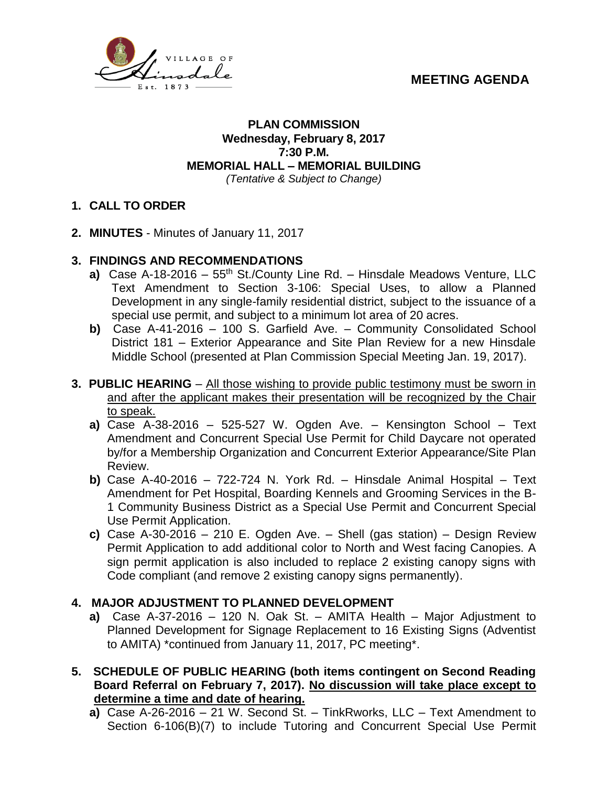



## **PLAN COMMISSION Wednesday, February 8, 2017 7:30 P.M. MEMORIAL HALL – MEMORIAL BUILDING** *(Tentative & Subject to Change)*

## **1. CALL TO ORDER**

- **2. MINUTES**  Minutes of January 11, 2017
- **3. FINDINGS AND RECOMMENDATIONS**
	- **a)** Case A-18-2016 55<sup>th</sup> St./County Line Rd. Hinsdale Meadows Venture, LLC Text Amendment to Section 3-106: Special Uses, to allow a Planned Development in any single-family residential district, subject to the issuance of a special use permit, and subject to a minimum lot area of 20 acres.
	- **b)** Case A-41-2016 100 S. Garfield Ave. Community Consolidated School District 181 – Exterior Appearance and Site Plan Review for a new Hinsdale Middle School (presented at Plan Commission Special Meeting Jan. 19, 2017).
- **3. PUBLIC HEARING** All those wishing to provide public testimony must be sworn in and after the applicant makes their presentation will be recognized by the Chair to speak.
	- **a)** Case A-38-2016 525-527 W. Ogden Ave. Kensington School Text Amendment and Concurrent Special Use Permit for Child Daycare not operated by/for a Membership Organization and Concurrent Exterior Appearance/Site Plan Review.
	- **b)** Case A-40-2016 722-724 N. York Rd. Hinsdale Animal Hospital Text Amendment for Pet Hospital, Boarding Kennels and Grooming Services in the B-1 Community Business District as a Special Use Permit and Concurrent Special Use Permit Application.
	- **c)** Case A-30-2016 210 E. Ogden Ave. Shell (gas station) Design Review Permit Application to add additional color to North and West facing Canopies. A sign permit application is also included to replace 2 existing canopy signs with Code compliant (and remove 2 existing canopy signs permanently).

## **4. MAJOR ADJUSTMENT TO PLANNED DEVELOPMENT**

- **a)** Case A-37-2016 120 N. Oak St. AMITA Health Major Adjustment to Planned Development for Signage Replacement to 16 Existing Signs (Adventist to AMITA) \*continued from January 11, 2017, PC meeting\*.
- **5. SCHEDULE OF PUBLIC HEARING (both items contingent on Second Reading Board Referral on February 7, 2017). No discussion will take place except to determine a time and date of hearing.**
	- **a)** Case A-26-2016 21 W. Second St. TinkRworks, LLC Text Amendment to Section 6-106(B)(7) to include Tutoring and Concurrent Special Use Permit